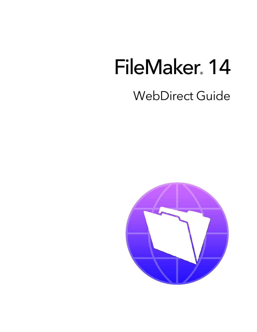# FileMaker 14

# WebDirect Guide

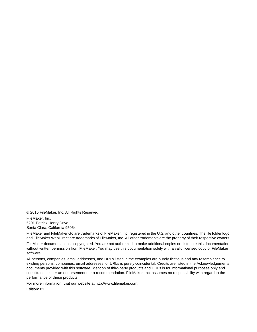© 2015 FileMaker, Inc. All Rights Reserved.

FileMaker, Inc. 5201 Patrick Henry Drive Santa Clara, California 95054

FileMaker and FileMaker Go are trademarks of FileMaker, Inc. registered in the U.S. and other countries. The file folder logo and FileMaker WebDirect are trademarks of FileMaker, Inc. All other trademarks are the property of their respective owners.

FileMaker documentation is copyrighted. You are not authorized to make additional copies or distribute this documentation without written permission from FileMaker. You may use this documentation solely with a valid licensed copy of FileMaker software.

All persons, companies, email addresses, and URLs listed in the examples are purely fictitious and any resemblance to existing persons, companies, email addresses, or URLs is purely coincidental. Credits are listed in the Acknowledgements documents provided with this software. Mention of third-party products and URLs is for informational purposes only and constitutes neither an endorsement nor a recommendation. FileMaker, Inc. assumes no responsibility with regard to the performance of these products.

For more information, visit our website at http://www.filemaker.com.

Edition: 01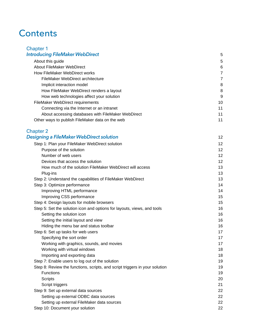# **Contents**

| <b>Chapter 1</b>                                   |    |
|----------------------------------------------------|----|
| <b>Introducing FileMaker WebDirect</b>             | 5  |
| About this guide                                   | 5  |
| About FileMaker WebDirect                          | 6  |
| How FileMaker WebDirect works                      | 7  |
| FileMaker WebDirect architecture                   | 7  |
| Implicit interaction model                         | 8  |
| How FileMaker WebDirect renders a layout           | 8  |
| How web technologies affect your solution          | 9  |
| FileMaker WebDirect requirements                   | 10 |
| Connecting via the Internet or an intranet         | 11 |
| About accessing databases with FileMaker WebDirect | 11 |
| Other ways to publish FileMaker data on the web    | 11 |

| <b>Chapter 2</b>                         |  |
|------------------------------------------|--|
| Designing a FileMaker WebDirect solution |  |

| Step 1: Plan your FileMaker WebDirect solution                              | 12 |
|-----------------------------------------------------------------------------|----|
| Purpose of the solution                                                     | 12 |
| Number of web users                                                         | 12 |
| Devices that access the solution                                            | 12 |
| How much of the solution FileMaker WebDirect will access                    | 13 |
| Plug-ins                                                                    | 13 |
| Step 2: Understand the capabilities of FileMaker WebDirect                  | 13 |
| Step 3: Optimize performance                                                | 14 |
| Improving HTML performance                                                  | 14 |
| Improving CSS performance                                                   | 15 |
| Step 4: Design layouts for mobile browsers                                  | 15 |
| Step 5: Set the solution icon and options for layouts, views, and tools     | 16 |
| Setting the solution icon                                                   | 16 |
| Setting the initial layout and view                                         | 16 |
| Hiding the menu bar and status toolbar                                      | 16 |
| Step 6: Set up tasks for web users                                          | 17 |
| Specifying the sort order                                                   | 17 |
| Working with graphics, sounds, and movies                                   | 17 |
| Working with virtual windows                                                | 18 |
| Importing and exporting data                                                | 18 |
| Step 7: Enable users to log out of the solution                             | 19 |
| Step 8: Review the functions, scripts, and script triggers in your solution | 19 |
| <b>Functions</b>                                                            | 19 |
| Scripts                                                                     | 20 |
| Script triggers                                                             | 21 |
| Step 9: Set up external data sources                                        | 22 |
| Setting up external ODBC data sources                                       | 22 |
| Setting up external FileMaker data sources                                  | 22 |
| Step 10: Document your solution                                             | 22 |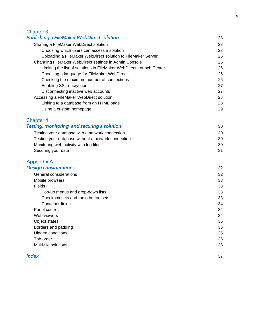#### [Chapter 3](#page-22-0) Publishing a FileMaker WebDirect solution 23

| Sharing a FileMaker WebDirect solution                              | 23 |
|---------------------------------------------------------------------|----|
| Choosing which users can access a solution                          | 23 |
| Uploading a FileMaker WebDirect solution to FileMaker Server        | 25 |
| Changing FileMaker WebDirect settings in Admin Console              | 25 |
| Limiting the list of solutions in FileMaker WebDirect Launch Center | 26 |
| Choosing a language for FileMaker WebDirect                         | 26 |
| Checking the maximum number of connections                          | 26 |
| <b>Enabling SSL encryption</b>                                      | 27 |
| Disconnecting inactive web accounts                                 | 27 |
| Accessing a FileMaker WebDirect solution                            | 28 |
| Linking to a database from an HTML page                             | 28 |
| Using a custom homepage                                             | 29 |
|                                                                     |    |

# [Chapter 4](#page-29-0)

| Testing, monitoring, and securing a solution       | 30 |
|----------------------------------------------------|----|
| Testing your database with a network connection    | 30 |
| Testing your database without a network connection | 30 |
| Monitoring web activity with log files             | 30 |
| Securing your data                                 | 31 |

#### [Appendix A](#page-31-0) Design considerations 32

| General considerations              | 32 |
|-------------------------------------|----|
| Mobile browsers                     | 33 |
| Fields                              | 33 |
| Pop-up menus and drop-down lists    | 33 |
| Checkbox sets and radio button sets | 33 |
| Container fields                    | 34 |
| Panel controls                      | 34 |
| Web viewers                         | 34 |
| Object states                       | 35 |
| Borders and padding                 | 35 |
| Hidden conditions                   | 35 |
| Tab order                           | 36 |
| Multi-file solutions                | 36 |
|                                     |    |

#### **Index** 37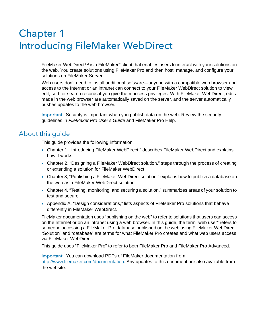# <span id="page-4-0"></span>Chapter 1 Introducing FileMaker WebDirect

FileMaker WebDirect<sup>™</sup> is a FileMaker® client that enables users to interact with your solutions on the web. You create solutions using FileMaker Pro and then host, manage, and configure your solutions on FileMaker Server.

Web users don't need to install additional software—anyone with a compatible web browser and access to the Internet or an intranet can connect to your FileMaker WebDirect solution to view, edit, sort, or search records if you give them access privileges. With FileMaker WebDirect, edits made in the web browser are automatically saved on the server, and the server automatically pushes updates to the web browser.

<span id="page-4-2"></span>Important Security is important when you publish data on the web. Review the security guidelines in *FileMaker Pro User's Guide* and FileMaker Pro Help.

# <span id="page-4-1"></span>About this guide

This guide provides the following information:

- Chapter 1, ["Introducing FileMaker](#page-4-0) WebDirect," describes FileMaker WebDirect and explains how it works.
- Chapter 2, ["Designing a FileMaker](#page-11-5) WebDirect solution," steps through the process of creating or extending a solution for FileMaker WebDirect.
- Chapter 3, ["Publishing a FileMaker](#page-22-3) WebDirect solution," explains how to publish a database on the web as a FileMaker WebDirect solution.
- Chapter 4, ["Testing, monitoring, and securing a solution,"](#page-29-4) summarizes areas of your solution to test and secure.
- 1 Appendix A, ["Design considerations,"](#page-31-2) lists aspects of FileMaker Pro solutions that behave differently in FileMaker WebDirect.

FileMaker documentation uses "publishing on the web" to refer to solutions that users can access on the Internet or on an intranet using a web browser. In this guide, the term "web user" refers to someone accessing a FileMaker Pro database published on the web using FileMaker WebDirect. "Solution" and "database" are terms for what FileMaker Pro creates and what web users access via FileMaker WebDirect.

This guide uses "FileMaker Pro" to refer to both FileMaker Pro and FileMaker Pro Advanced.

Important You can download PDFs of FileMaker documentation from <http://www.filemaker.com/documentation>. Any updates to this document are also available from the website.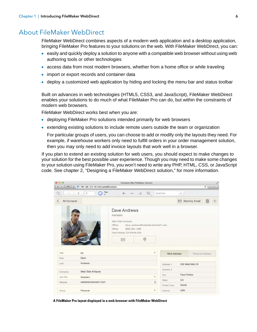# <span id="page-5-1"></span><span id="page-5-0"></span>About FileMaker WebDirect

FileMaker WebDirect combines aspects of a modern web application and a desktop application, bringing FileMaker Pro features to your solutions on the web. With FileMaker WebDirect, you can:

- 1 easily and quickly deploy a solution to anyone with a compatible web browser without using web authoring tools or other technologies
- **1** access data from most modern browsers, whether from a home office or while traveling
- import or export records and container data
- <sup>1</sup> deploy a customized web application by hiding and locking the menu bar and status toolbar

Built on advances in web technologies (HTML5, CSS3, and JavaScript), FileMaker WebDirect enables your solutions to do much of what FileMaker Pro can do, but within the constraints of modern web browsers.

FileMaker WebDirect works best when you are:

- 1 deploying FileMaker Pro solutions intended primarily for web browsers
- 1 extending existing solutions to include remote users outside the team or organization

For particular groups of users, you can choose to add or modify only the layouts they need. For example, if warehouse workers only need to fulfill orders in your order management solution, then you may only need to add invoice layouts that work well in a browser.

If you plan to extend an existing solution for web users, you should expect to make changes to your solution for the best possible user experience. Though you may need to make some changes to your solution using FileMaker Pro, you won't need to write any PHP, HTML, CSS, or JavaScript code. See chapter [2, "Designing a FileMaker](#page-11-5) WebDirect solution," for more information.



**A FileMaker Pro layout displayed in a web browser with FileMaker WebDirect**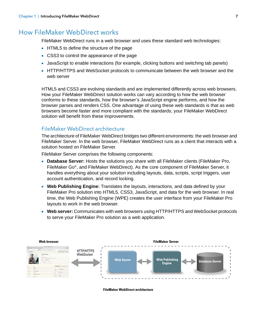# <span id="page-6-6"></span><span id="page-6-0"></span>How FileMaker WebDirect works

<span id="page-6-12"></span><span id="page-6-7"></span>FileMaker WebDirect runs in a web browser and uses these standard web technologies:

- <span id="page-6-3"></span>**HTML5** to define the structure of the page
- <span id="page-6-9"></span>• CSS3 to control the appearance of the page
- <span id="page-6-8"></span>1 JavaScript to enable interactions (for example, clicking buttons and switching tab panels)
- **HTTP/HTTPS and WebSocket protocols to communicate between the web browser and the** web server

HTML5 and CSS3 are evolving standards and are implemented differently across web browsers. How your FileMaker WebDirect solution works can vary according to how the web browser conforms to these standards, how the browser's JavaScript engine performs, and how the browser parses and renders CSS. One advantage of using these web standards is that as web browsers become faster and more compliant with the standards, your FileMaker WebDirect solution will benefit from these improvements.

#### <span id="page-6-2"></span><span id="page-6-1"></span>FileMaker WebDirect architecture

The architecture of FileMaker WebDirect bridges two different environments: the web browser and FileMaker Server. In the web browser, FileMaker WebDirect runs as a client that interacts with a solution hosted on FileMaker Server.

<span id="page-6-5"></span><span id="page-6-4"></span>FileMaker Server comprises the following components:

- **Database Server:** Hosts the solutions you share with all FileMaker clients (FileMaker Pro, FileMaker Go®, and FileMaker WebDirect). As the core component of FileMaker Server, it handles everything about your solution including layouts, data, scripts, script triggers, user account authentication, and record locking.
- <span id="page-6-10"></span>**• Web Publishing Engine:** Translates the layouts, interactions, and data defined by your FileMaker Pro solution into HTML5, CSS3, JavaScript, and data for the web browser. In real time, the Web Publishing Engine (WPE) creates the user interface from your FileMaker Pro layouts to work in the web browser.
- <span id="page-6-11"></span>**Neb server:** Communicates with web browsers using HTTP/HTTPS and WebSocket protocols to serve your FileMaker Pro solution as a web application.



**FileMaker WebDirect architecture**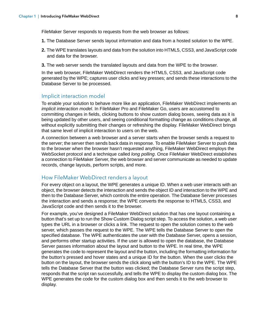FileMaker Server responds to requests from the web browser as follows:

- **1.** The Database Server sends layout information and data from a hosted solution to the WPE.
- **2.** The WPE translates layouts and data from the solution into HTML5, CSS3, and JavaScript code and data for the browser.
- **3.** The web server sends the translated layouts and data from the WPE to the browser.

In the web browser, FileMaker WebDirect renders the HTML5, CSS3, and JavaScript code generated by the WPE; captures user clicks and key presses; and sends these interactions to the Database Server to be processed.

#### <span id="page-7-2"></span><span id="page-7-0"></span>Implicit interaction model

To enable your solution to behave more like an application, FileMaker WebDirect implements an *implicit interaction model*. In FileMaker Pro and FileMaker Go, users are accustomed to committing changes in fields, clicking buttons to show custom dialog boxes, seeing data as it is being updated by other users, and seeing conditional formatting change as conditions change, all without explicitly submitting their changes or refreshing the display. FileMaker WebDirect brings that same level of implicit interaction to users on the web.

A connection between a web browser and a server starts when the browser sends a request to the server; the server then sends back data in response. To enable FileMaker Server to push data to the browser when the browser hasn't requested anything, FileMaker WebDirect employs the WebSocket protocol and a technique called *long polling*. Once FileMaker WebDirect establishes a connection to FileMaker Server, the web browser and server communicate as needed to update records, change layouts, perform scripts, and more.

#### <span id="page-7-1"></span>How FileMaker WebDirect renders a layout

For every object on a layout, the WPE generates a unique ID. When a web user interacts with an object, the browser detects the interaction and sends the object ID and interaction to the WPE and then to the Database Server, which controls the entire operation. The Database Server processes the interaction and sends a response; the WPE converts the response to HTML5, CSS3, and JavaScript code and then sends it to the browser.

<span id="page-7-3"></span>For example, you've designed a FileMaker WebDirect solution that has one layout containing a button that's set up to run the Show Custom Dialog script step. To access the solution, a web user types the URL in a browser or clicks a link. The request to open the solution comes to the web server, which passes the request to the WPE. The WPE tells the Database Server to open the specified database. The WPE authenticates the user with the Database Server, opens a session, and performs other startup activities. If the user is allowed to open the database, the Database Server passes information about the layout and button to the WPE. In real time, the WPE generates the code to represent the layout and the button, including the formatting information for the button's pressed and hover states and a unique ID for the button. When the user clicks the button on the layout, the browser sends the click along with the button's ID to the WPE. The WPE tells the Database Server that the button was clicked; the Database Server runs the script step, responds that the script ran successfully, and tells the WPE to display the custom dialog box. The WPE generates the code for the custom dialog box and then sends it to the web browser to display.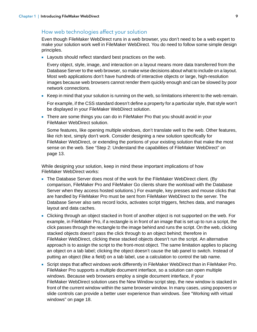#### <span id="page-8-1"></span><span id="page-8-0"></span>How web technologies affect your solution

Even though FileMaker WebDirect runs in a web browser, you don't need to be a web expert to make your solution work well in FileMaker WebDirect. You do need to follow some simple design principles.

**Example 2** Layouts should reflect standard best practices on the web.

Every object, style, image, and interaction on a layout means more data transferred from the Database Server to the web browser, so make wise decisions about what to include on a layout. Most web applications don't have hundreds of interactive objects or large, high-resolution images because web browsers cannot render them quickly enough and can be slowed by poor network connections.

- 1 Keep in mind that your solution is running on the web, so limitations inherent to the web remain. For example, if the CSS standard doesn't define a property for a particular style, that style won't be displayed in your FileMaker WebDirect solution.
- There are some things you can do in FileMaker Pro that you should avoid in your FileMaker WebDirect solution.

Some features, like opening multiple windows, don't translate well to the web. Other features, like rich text, simply don't work. Consider designing a new solution specifically for FileMaker WebDirect, or extending the portions of your existing solution that make the most sense on the web. See ["Step 2: Understand the capabilities of FileMaker](#page-12-3) WebDirect" on [page](#page-12-3) 13.

While designing your solution, keep in mind these important implications of how FileMaker WebDirect works:

- The Database Server does most of the work for the FileMaker WebDirect client. (By comparison, FileMaker Pro and FileMaker Go clients share the workload with the Database Server when they access hosted solutions.) For example, key presses and mouse clicks that are handled by FileMaker Pro must be sent from FileMaker WebDirect to the server. The Database Server also sets record locks, activates script triggers, fetches data, and manages layout and data caches.
- 1 Clicking through an object stacked in front of another object is not supported on the web. For example, in FileMaker Pro, if a rectangle is in front of an image that is set up to run a script, the click passes through the rectangle to the image behind and runs the script. On the web, clicking stacked objects doesn't pass the click through to an object behind; therefore in FileMaker WebDirect, clicking these stacked objects doesn't run the script. An alternative approach is to assign the script to the front-most object. The same limitation applies to placing an object on a tab label; clicking the object doesn't cause the tab panel to switch. Instead of putting an object (like a field) on a tab label, use a calculation to control the tab name.
- 1 Script steps that affect windows work differently in FileMaker WebDirect than in FileMaker Pro. FileMaker Pro supports a multiple document interface, so a solution can open multiple windows. Because web browsers employ a single document interface, if your FileMaker WebDirect solution uses the New Window script step, the new window is stacked in front of the current window within the same browser window. In many cases, using popovers or slide controls can provide a better user experience than windows. See ["Working with virtual](#page-17-2)  [windows" on page](#page-17-2) 18.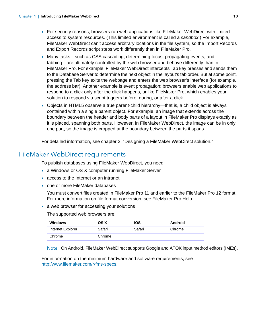- <span id="page-9-4"></span><span id="page-9-2"></span>1 For security reasons, browsers run web applications like FileMaker WebDirect with limited access to system resources. (This limited environment is called a *sandbox*.) For example, FileMaker WebDirect can't access arbitrary locations in the file system, so the Import Records and Export Records script steps work differently than in FileMaker Pro.
- 1 Many tasks—such as CSS cascading, determining focus, propagating events, and tabbing—are ultimately controlled by the web browser and behave differently than in FileMaker Pro. For example, FileMaker WebDirect intercepts Tab key presses and sends them to the Database Server to determine the next object in the layout's tab order. But at some point, pressing the Tab key exits the webpage and enters the web browser's interface (for example, the address bar). Another example is event propagation: browsers enable web applications to respond to a click only after the click happens, unlike FileMaker Pro, which enables your solution to respond via script triggers before, during, or after a click.
- 1 Objects in HTML5 observe a true parent-child hierarchy—that is, a child object is always contained within a single parent object. For example, an image that extends across the boundary between the header and body parts of a layout in FileMaker Pro displays exactly as it is placed, spanning both parts. However, in FileMaker WebDirect, the image can be in only one part, so the image is cropped at the boundary between the parts it spans.

For detailed information, see chapter [2, "Designing a FileMaker](#page-11-5) WebDirect solution."

# <span id="page-9-1"></span><span id="page-9-0"></span>FileMaker WebDirect requirements

To publish databases using FileMaker WebDirect, you need:

- **1** a Windows or OS X computer running FileMaker Server
- **1** access to the Internet or an intranet
- <span id="page-9-3"></span>• one or more FileMaker databases
	- You must convert files created in FileMaker Pro 11 and earlier to the FileMaker Pro 12 format. For more information on file format conversion, see FileMaker Pro Help.
- **1** a web browser for accessing your solutions

The supported web browsers are:

| <b>Windows</b>    | OS X   | iOS    | Android |
|-------------------|--------|--------|---------|
| Internet Explorer | Safari | Safari | Chrome  |
| Chrome            | Chrome |        |         |

Note On Android, FileMaker WebDirect supports Google and ATOK input method editors (IMEs).

For information on the minimum hardware and software requirements, see [http:/www.filemaker.com/r/fms-specs](http://www.filemaker.com/r/fms-specs).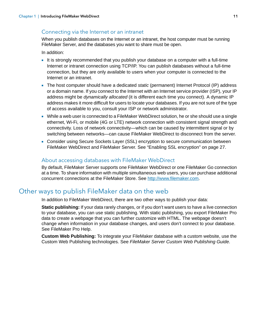#### <span id="page-10-8"></span><span id="page-10-0"></span>Connecting via the Internet or an intranet

When you publish databases on the Internet or an intranet, the host computer must be running FileMaker Server, and the databases you want to share must be open.

In addition:

- It is strongly recommended that you publish your database on a computer with a full-time Internet or intranet connection using TCP/IP. You can publish databases without a full-time connection, but they are only available to users when your computer is connected to the Internet or an intranet.
- <span id="page-10-7"></span><span id="page-10-6"></span>1 The host computer should have a dedicated *static* (permanent) Internet Protocol (IP) address or a domain name. If you connect to the Internet with an Internet service provider (ISP), your IP address might be *dynamically allocated* (it is different each time you connect). A dynamic IP address makes it more difficult for users to locate your databases. If you are not sure of the type of access available to you, consult your ISP or network administrator.
- While a web user is connected to a FileMaker WebDirect solution, he or she should use a single ethernet, Wi-Fi, or mobile (4G or LTE) network connection with consistent signal strength and connectivity. Loss of network connectivity—which can be caused by intermittent signal or by switching between networks—can cause FileMaker WebDirect to disconnect from the server.
- <span id="page-10-5"></span>• Consider using Secure Sockets Layer (SSL) encryption to secure communication between FileMaker WebDirect and FileMaker Server. See ["Enabling SSL encryption" on page](#page-26-2) 27.

#### <span id="page-10-1"></span>About accessing databases with FileMaker WebDirect

By default, FileMaker Server supports one FileMaker WebDirect or one FileMaker Go connection at a time. To share information with multiple simultaneous web users, you can purchase additional concurrent connections at the FileMaker Store. See <http://www.filemaker.com>.

# <span id="page-10-2"></span>Other ways to publish FileMaker data on the web

<span id="page-10-4"></span>In addition to FileMaker WebDirect, there are two other ways to publish your data:

**Static publishing:** If your data rarely changes, or if you don't want users to have a live connection to your database, you can use static publishing. With static publishing, you export FileMaker Pro data to create a webpage that you can further customize with HTML. The webpage doesn't change when information in your database changes, and users don't connect to your database. See FileMaker Pro Help.

<span id="page-10-3"></span>**Custom Web Publishing:** To integrate your FileMaker database with a custom website, use the Custom Web Publishing technologies. See *FileMaker Server Custom Web Publishing Guide*.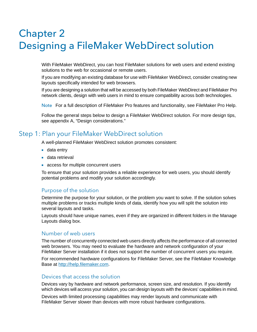# <span id="page-11-6"></span><span id="page-11-5"></span><span id="page-11-0"></span>Chapter 2 Designing a FileMaker WebDirect solution

With FileMaker WebDirect, you can host FileMaker solutions for web users and extend existing solutions to the web for occasional or remote users.

If you are modifying an existing database for use with FileMaker WebDirect, consider creating new layouts specifically intended for web browsers.

<span id="page-11-7"></span>If you are designing a solution that will be accessed by both FileMaker WebDirect and FileMaker Pro network clients, design with web users in mind to ensure compatibility across both technologies.

Note For a full description of FileMaker Pro features and functionality, see FileMaker Pro Help.

Follow the general steps below to design a FileMaker WebDirect solution. For more design tips, see appendix [A, "Design considerations."](#page-31-2)

# <span id="page-11-1"></span>Step 1: Plan your FileMaker WebDirect solution

A well-planned FileMaker WebDirect solution promotes consistent:

- $\blacksquare$  data entry
- data retrieval
- **1** access for multiple concurrent users

To ensure that your solution provides a reliable experience for web users, you should identify potential problems and modify your solution accordingly.

#### <span id="page-11-2"></span>Purpose of the solution

Determine the purpose for your solution, or the problem you want to solve. If the solution solves multiple problems or tracks multiple kinds of data, identify how you will split the solution into several layouts and tasks.

Layouts should have unique names, even if they are organized in different folders in the Manage Layouts dialog box.

#### <span id="page-11-3"></span>Number of web users

The number of concurrently connected web users directly affects the performance of all connected web browsers. You may need to evaluate the hardware and network configuration of your FileMaker Server installation if it does not support the number of concurrent users you require.

For recommended hardware configurations for FileMaker Server, see the FileMaker Knowledge Base at [http://help.filemaker.com](http://www.filemaker.com).

#### <span id="page-11-4"></span>Devices that access the solution

Devices vary by hardware and network performance, screen size, and resolution. If you identify which devices will access your solution, you can design layouts with the devices' capabilities in mind. Devices with limited processing capabilities may render layouts and communicate with FileMaker Server slower than devices with more robust hardware configurations.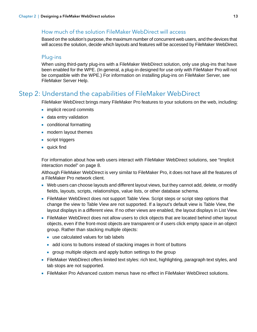#### <span id="page-12-0"></span>How much of the solution FileMaker WebDirect will access

Based on the solution's purpose, the maximum number of concurrent web users, and the devices that will access the solution, decide which layouts and features will be accessed by FileMaker WebDirect.

#### <span id="page-12-1"></span>Plug-ins

<span id="page-12-6"></span>When using third-party plug-ins with a FileMaker WebDirect solution, only use plug-ins that have been enabled for the WPE. (In general, a plug-in designed for use only with FileMaker Pro will not be compatible with the WPE.) For information on installing plug-ins on FileMaker Server, see FileMaker Server Help.

# <span id="page-12-3"></span><span id="page-12-2"></span>Step 2: Understand the capabilities of FileMaker WebDirect

FileMaker WebDirect brings many FileMaker Pro features to your solutions on the web, including:

- **n** implicit record commits
- **data entry validation**
- conditional formatting
- **n** modern layout themes
- **script triggers**
- $\blacksquare$  quick find

For information about how web users interact with FileMaker WebDirect solutions, see ["Implicit](#page-7-2)  [interaction model" on page](#page-7-2) 8.

Although FileMaker WebDirect is very similar to FileMaker Pro, it does not have all the features of a FileMaker Pro network client.

- 1 Web users can choose layouts and different layout views, but they cannot add, delete, or modify fields, layouts, scripts, relationships, value lists, or other database schema.
- FileMaker WebDirect does not support Table View. Script steps or script step options that change the view to Table View are not supported. If a layout's default view is Table View, the layout displays in a different view. If no other views are enabled, the layout displays in List View.
- **FileMaker WebDirect does not allow users to click objects that are located behind other layout** objects, even if the front-most objects are transparent or if users click empty space in an object group. Rather than stacking multiple objects:
	- use calculated values for tab labels
	- add icons to buttons instead of stacking images in front of buttons
	- **qroup multiple objects and apply button settings to the group**
- <span id="page-12-5"></span>1 FileMaker WebDirect offers limited text styles: rich text, highlighting, paragraph text styles, and tab stops are not supported.
- <span id="page-12-4"></span>• FileMaker Pro Advanced custom menus have no effect in FileMaker WebDirect solutions.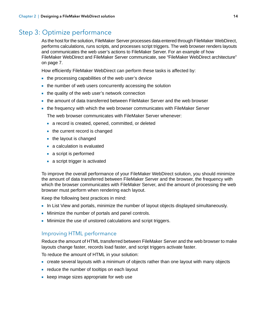# <span id="page-13-0"></span>Step 3: Optimize performance

<span id="page-13-2"></span>As the host for the solution, FileMaker Server processes data entered through FileMaker WebDirect, performs calculations, runs scripts, and processes script triggers. The web browser renders layouts and communicates the web user's actions to FileMaker Server. For an example of how FileMaker WebDirect and FileMaker Server communicate, see "FileMaker [WebDirect architecture"](#page-6-2)  [on page](#page-6-2) 7.

How efficiently FileMaker WebDirect can perform these tasks is affected by:

- the processing capabilities of the web user's device
- $\blacksquare$  the number of web users concurrently accessing the solution
- the quality of the web user's network connection
- 1 the amount of data transferred between FileMaker Server and the web browser
- 1 the frequency with which the web browser communicates with FileMaker Server
	- The web browser communicates with FileMaker Server whenever:
	- **1** a record is created, opened, committed, or deleted
	- the current record is changed
	- $\blacksquare$  the layout is changed
	- a calculation is evaluated
	- **a** script is performed
	- **a** a script trigger is activated

To improve the overall performance of your FileMaker WebDirect solution, you should minimize the amount of data transferred between FileMaker Server and the browser, the frequency with which the browser communicates with FileMaker Server, and the amount of processing the web browser must perform when rendering each layout.

Keep the following best practices in mind:

- 1 In List View and portals, minimize the number of layout objects displayed simultaneously.
- Minimize the number of portals and panel controls.
- **I** Minimize the use of unstored calculations and script triggers.

#### <span id="page-13-1"></span>Improving HTML performance

Reduce the amount of HTML transferred between FileMaker Server and the web browser to make layouts change faster, records load faster, and script triggers activate faster.

To reduce the amount of HTML in your solution:

- create several layouts with a minimum of objects rather than one layout with many objects
- **Example 1** reduce the number of tooltips on each layout
- keep image sizes appropriate for web use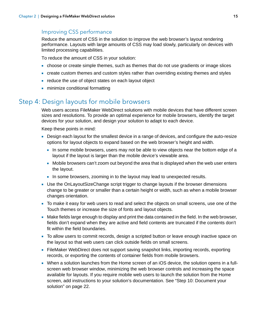#### <span id="page-14-0"></span>Improving CSS performance

Reduce the amount of CSS in the solution to improve the web browser's layout rendering performance. Layouts with large amounts of CSS may load slowly, particularly on devices with limited processing capabilities.

To reduce the amount of CSS in your solution:

- 1 choose or create simple themes, such as themes that do not use gradients or image slices
- 1 create custom themes and custom styles rather than overriding existing themes and styles
- reduce the use of object states on each layout object
- minimize conditional formatting

# <span id="page-14-1"></span>Step 4: Design layouts for mobile browsers

Web users access FileMaker WebDirect solutions with mobile devices that have different screen sizes and resolutions. To provide an optimal experience for mobile browsers, identify the target devices for your solution, and design your solution to adapt to each device.

- **Design each layout for the smallest device in a range of devices, and configure the auto-resize** options for layout objects to expand based on the web browser's height and width.
	- In some mobile browsers, users may not be able to view objects near the bottom edge of a layout if the layout is larger than the mobile device's viewable area.
	- Mobile browsers can't zoom out beyond the area that is displayed when the web user enters the layout.
	- 1 In some browsers, zooming in to the layout may lead to unexpected results.
- <span id="page-14-2"></span>• Use the OnLayoutSizeChange script trigger to change layouts if the browser dimensions change to be greater or smaller than a certain height or width, such as when a mobile browser changes orientation.
- 1 To make it easy for web users to read and select the objects on small screens, use one of the Touch themes or increase the size of fonts and layout objects.
- 1 Make fields large enough to display and print the data contained in the field. In the web browser, fields don't expand when they are active and field contents are truncated if the contents don't fit within the field boundaries.
- To allow users to commit records, design a scripted button or leave enough inactive space on the layout so that web users can click outside fields on small screens.
- 1 FileMaker WebDirect does not support saving snapshot links, importing records, exporting records, or exporting the contents of container fields from mobile browsers.
- 1 When a solution launches from the Home screen of an iOS device, the solution opens in a fullscreen web browser window, minimizing the web browser controls and increasing the space available for layouts. If you require mobile web users to launch the solution from the Home screen, add instructions to your solution's documentation. See ["Step 10: Document your](#page-21-3)  [solution" on page](#page-21-3) 22.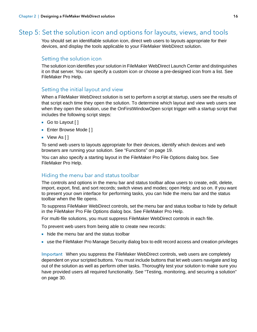# <span id="page-15-0"></span>Step 5: Set the solution icon and options for layouts, views, and tools

You should set an identifiable solution icon, direct web users to layouts appropriate for their devices, and display the tools applicable to your FileMaker WebDirect solution.

#### <span id="page-15-1"></span>Setting the solution icon

The solution icon identifies your solution in FileMaker WebDirect Launch Center and distinguishes it on that server. You can specify a custom icon or choose a pre-designed icon from a list. See FileMaker Pro Help.

#### <span id="page-15-2"></span>Setting the initial layout and view

<span id="page-15-5"></span>When a FileMaker WebDirect solution is set to perform a script at startup, users see the results of that script each time they open the solution. To determine which layout and view web users see when they open the solution, use the OnFirstWindowOpen script trigger with a startup script that includes the following script steps:

- <span id="page-15-4"></span>■ Go to Layout [ ]
- **Enter Browse Mode [ ]**
- $\blacksquare$  View As [ ]

To send web users to layouts appropriate for their devices, identify which devices and web browsers are running your solution. See ["Functions" on page](#page-18-2) 19.

You can also specify a starting layout in the FileMaker Pro File Options dialog box. See FileMaker Pro Help.

#### <span id="page-15-3"></span>Hiding the menu bar and status toolbar

The controls and options in the menu bar and status toolbar allow users to create, edit, delete, import, export, find, and sort records; switch views and modes; open Help; and so on. If you want to present your own interface for performing tasks, you can hide the menu bar and the status toolbar when the file opens.

To suppress FileMaker WebDirect controls, set the menu bar and status toolbar to hide by default in the FileMaker Pro File Options dialog box. See FileMaker Pro Help.

For multi-file solutions, you must suppress FileMaker WebDirect controls in each file.

To prevent web users from being able to create new records:

- hide the menu bar and the status toolbar
- **EXECT:** use the FileMaker Pro Manage Security dialog box to edit record access and creation privileges

Important When you suppress the FileMaker WebDirect controls, web users are completely dependent on your scripted buttons. You must include buttons that let web users navigate and log out of the solution as well as perform other tasks. Thoroughly test your solution to make sure you have provided users all required functionality. See ["Testing, monitoring, and securing a solution"](#page-29-4)  [on page](#page-29-4) 30.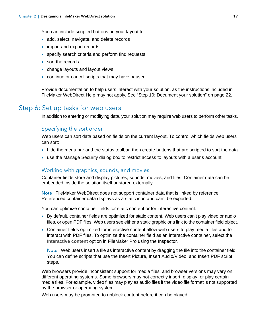You can include scripted buttons on your layout to:

- add, select, navigate, and delete records
- **n** import and export records
- **EXECT:** specify search criteria and perform find requests
- sort the records
- change layouts and layout views
- **-** continue or cancel scripts that may have paused

Provide documentation to help users interact with your solution, as the instructions included in FileMaker WebDirect Help may not apply. See ["Step 10: Document your solution" on page](#page-21-3) 22.

# <span id="page-16-0"></span>Step 6: Set up tasks for web users

In addition to entering or modifying data, your solution may require web users to perform other tasks.

#### <span id="page-16-1"></span>Specifying the sort order

Web users can sort data based on fields on the current layout. To control which fields web users can sort:

- hide the menu bar and the status toolbar, then create buttons that are scripted to sort the data
- 1 use the Manage Security dialog box to restrict access to layouts with a user's account

#### <span id="page-16-3"></span><span id="page-16-2"></span>Working with graphics, sounds, and movies

<span id="page-16-5"></span><span id="page-16-4"></span>Container fields store and display pictures, sounds, movies, and files. Container data can be embedded inside the solution itself or stored externally.

Note FileMaker WebDirect does not support container data that is linked by reference. Referenced container data displays as a static icon and can't be exported.

<span id="page-16-10"></span>You can optimize container fields for static content or for interactive content:

- 1 By default, container fields are optimized for static content. Web users can't play video or audio files, or open PDF files. Web users see either a static graphic or a link to the container field object.
- 1 Container fields optimized for interactive content allow web users to play media files and to interact with PDF files. To optimize the container field as an interactive container, select the **Interactive content** option in FileMaker Pro using the Inspector.

<span id="page-16-9"></span><span id="page-16-8"></span><span id="page-16-7"></span><span id="page-16-6"></span>Note Web users insert a file as interactive content by dragging the file into the container field. You can define scripts that use the Insert Picture, Insert Audio/Video, and Insert PDF script steps.

Web browsers provide inconsistent support for media files, and browser versions may vary on different operating systems. Some browsers may not correctly insert, display, or play certain media files. For example, video files may play as audio files if the video file format is not supported by the browser or operating system.

Web users may be prompted to unblock content before it can be played.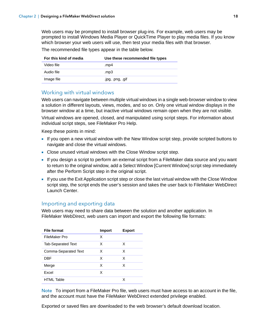<span id="page-17-13"></span>Web users may be prompted to install browser plug-ins. For example, web users may be prompted to install Windows Media Player or QuickTime Player to play media files. If you know which browser your web users will use, then test your media files with that browser.

The recommended file types appear in the table below.

<span id="page-17-8"></span><span id="page-17-3"></span>

| For this kind of media | Use these recommended file types |
|------------------------|----------------------------------|
| Video file             | mp4.                             |
| Audio file             | mp3.                             |
| Image file             | .jpg, .png, .gif                 |

#### <span id="page-17-12"></span><span id="page-17-7"></span><span id="page-17-2"></span><span id="page-17-0"></span>Working with virtual windows

Web users can navigate between multiple virtual windows in a single web-browser window to view a solution in different layouts, views, modes, and so on. Only one virtual window displays in the browser window at a time, but inactive virtual windows remain open when they are not visible.

Virtual windows are opened, closed, and manipulated using script steps. For information about individual script steps, see FileMaker Pro Help.

<span id="page-17-9"></span>Keep these points in mind:

- 1 If you open a new virtual window with the New Window script step, provide scripted buttons to navigate and close the virtual windows.
- <span id="page-17-4"></span>**-** Close unused virtual windows with the Close Window script step.
- <span id="page-17-11"></span><span id="page-17-10"></span>1 If you design a script to perform an external script from a FileMaker data source and you want to return to the original window, add a Select Window [Current Window] script step immediately after the Perform Script step in the original script.
- <span id="page-17-5"></span>1 If you use the Exit Application script step or close the last virtual window with the Close Window script step, the script ends the user's session and takes the user back to FileMaker WebDirect Launch Center.

#### <span id="page-17-1"></span>Importing and exporting data

<span id="page-17-6"></span>Web users may need to share data between the solution and another application. In FileMaker WebDirect, web users can import and export the following file formats:

| <b>File format</b>        | <b>Import</b> | <b>Export</b> |
|---------------------------|---------------|---------------|
| FileMaker Pro             | х             |               |
| <b>Tab-Separated Text</b> | х             | x             |
| Comma-Separated Text      | x             | x             |
| DBF                       | х             | х             |
| Merge                     | х             | х             |
| Excel                     | х             |               |
| <b>HTML Table</b>         |               | x             |

Note To import from a FileMaker Pro file, web users must have access to an account in the file, and the account must have the FileMaker WebDirect extended privilege enabled.

Exported or saved files are downloaded to the web browser's default download location.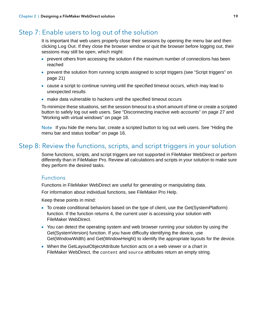# <span id="page-18-0"></span>Step 7: Enable users to log out of the solution

It is important that web users properly close their sessions by opening the menu bar and then clicking **Log Out**. If they close the browser window or quit the browser before logging out, their sessions may still be open, which might:

- **permulters** from accessing the solution if the maximum number of connections has been reached
- **•** prevent the solution from running scripts assigned to script triggers (see "Script triggers" on [page](#page-20-0) 21)
- 1 cause a script to continue running until the specified timeout occurs, which may lead to unexpected results
- <span id="page-18-9"></span>1 make data vulnerable to hackers until the specified timeout occurs

To minimize these situations, set the session timeout to a short amount of time or create a scripted button to safely log out web users. See ["Disconnecting inactive web accounts" on page](#page-26-3) 27 and ["Working with virtual windows" on page](#page-17-0) 18.

Note If you hide the menu bar, create a scripted button to log out web users. See ["Hiding the](#page-15-3)  [menu bar and status toolbar" on page](#page-15-3) 16.

# <span id="page-18-1"></span>Step 8: Review the functions, scripts, and script triggers in your solution

Some functions, scripts, and script triggers are not supported in FileMaker WebDirect or perform differently than in FileMaker Pro. Review all calculations and scripts in your solution to make sure they perform the desired tasks.

#### <span id="page-18-3"></span><span id="page-18-2"></span>**Functions**

Functions in FileMaker WebDirect are useful for generating or manipulating data.

For information about individual functions, see FileMaker Pro Help.

- <span id="page-18-4"></span>1 To create conditional behaviors based on the type of client, use the Get(SystemPlatform) function. If the function returns **4**, the current user is accessing your solution with FileMaker WebDirect.
- <span id="page-18-7"></span><span id="page-18-6"></span><span id="page-18-5"></span>• You can detect the operating system and web browser running your solution by using the Get(SystemVersion) function. If you have difficulty identifying the device, use Get(WindowWidth) and Get(WindowHeight) to identify the appropriate layouts for the device.
- <span id="page-18-8"></span>• When the GetLayoutObjectAttribute function acts on a web viewer or a chart in FileMaker WebDirect, the content and source attributes return an empty string.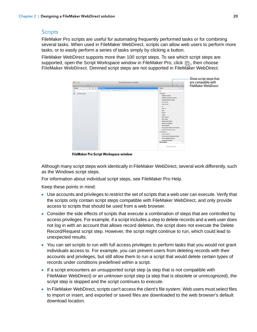#### <span id="page-19-3"></span><span id="page-19-1"></span><span id="page-19-0"></span>**Scripts**

FileMaker Pro scripts are useful for automating frequently performed tasks or for combining several tasks. When used in FileMaker WebDirect, scripts can allow web users to perform more tasks, or to easily perform a series of tasks simply by clicking a button.

FileMaker WebDirect supports more than 100 script steps. To see which script steps are supported, open the Script Workspace window in FileMaker Pro, click  $\overline{\mathbb{R}}$ , then choose **FileMaker WebDirect**. Dimmed script steps are not supported in FileMaker WebDirect.

| 000<br>$\frac{1}{2}$<br>$D$ $\mathbb{R}$ | Script Workspace (Untitled)          | $\boxed{\mathbf{D} \mid \mathbf{D} \mid \mathbf{G}}$                                                                                                                                                                                                                                                                                                                                                                                                                              | Show script steps that<br>are compatible with<br>FileMaker WebDirect |
|------------------------------------------|--------------------------------------|-----------------------------------------------------------------------------------------------------------------------------------------------------------------------------------------------------------------------------------------------------------------------------------------------------------------------------------------------------------------------------------------------------------------------------------------------------------------------------------|----------------------------------------------------------------------|
| 百田幸<br><b>Scripts</b><br>New Script      |                                      | ☆ 48<br><b>Steps</b>                                                                                                                                                                                                                                                                                                                                                                                                                                                              |                                                                      |
| $\alpha$                                 | Type a step or choose from the tist. | $\alpha$                                                                                                                                                                                                                                                                                                                                                                                                                                                                          |                                                                      |
| $\overline{\mathbf{v}}$<br>C New Script  |                                      | * Control<br><b>Perform Script</b><br>Perform Script on Server<br>Pause/Resume Script<br><b>Exit Script</b><br><b>Halt Script</b><br>w<br>Eise If<br>Eise<br>End If<br>Loop<br>Exit Loop If<br>End Loop<br>Allow User Abort<br><b>Set Error Capture</b><br>Set Variable<br>Set Layout Object Animation<br>Install OnTimer Script<br><b>W Navigation</b><br>Go to Layout<br>Go to Record/Request/Page<br>Go to Related Record<br>Go to Portal Row<br>Description<br>No description | <b>O</b>                                                             |

<span id="page-19-2"></span>**FileMaker Pro Script Workspace window**

Although many script steps work identically in FileMaker WebDirect, several work differently, such as the Windows script steps.

For information about individual script steps, see FileMaker Pro Help.

- 1 Use accounts and privileges to restrict the set of scripts that a web user can execute. Verify that the scripts only contain script steps compatible with FileMaker WebDirect, and only provide access to scripts that should be used from a web browser.
- Consider the side effects of scripts that execute a combination of steps that are controlled by access privileges. For example, if a script includes a step to delete records and a web user does not log in with an account that allows record deletion, the script does not execute the Delete Record/Request script step. However, the script might continue to run, which could lead to unexpected results.
- 1 You can set scripts to run with full access privileges to perform tasks that you would not grant individuals access to. For example, you can prevent users from deleting records with their accounts and privileges, but still allow them to run a script that would delete certain types of records under conditions predefined within a script.
- 1 If a script encounters an *unsupported* script step (a step that is not compatible with FileMaker WebDirect) or an *unknown* script step (a step that is obsolete or unrecognized), the script step is skipped and the script continues to execute.
- **In FileMaker WebDirect, scripts can't access the client's file system. Web users must select files** to import or insert, and exported or saved files are downloaded to the web browser's default download location.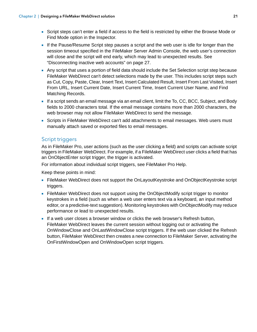- 1 Script steps can't enter a field if access to the field is restricted by either the Browse Mode or Find Mode option in the Inspector.
- <span id="page-20-18"></span>**If the Pause/Resume Script step pauses a script and the web user is idle for longer than the** session timeout specified in the FileMaker Server Admin Console, the web user's connection will close and the script will end early, which may lead to unexpected results. See ["Disconnecting inactive web accounts" on page](#page-26-3) 27.
- <span id="page-20-19"></span><span id="page-20-17"></span><span id="page-20-11"></span><span id="page-20-10"></span><span id="page-20-9"></span><span id="page-20-8"></span><span id="page-20-7"></span><span id="page-20-6"></span><span id="page-20-5"></span><span id="page-20-4"></span><span id="page-20-3"></span><span id="page-20-2"></span><span id="page-20-1"></span>1 Any script that uses a portion of field data should include the Set Selection script step because FileMaker WebDirect can't detect selections made by the user. This includes script steps such as Cut, Copy, Paste, Clear, Insert Text, Insert Calculated Result, Insert From Last Visited, Insert From URL, Insert Current Date, Insert Current Time, Insert Current User Name, and Find Matching Records.
- <sup>■</sup> If a script sends an email message via an email client, limit the To, CC, BCC, Subject, and Body fields to 2000 characters total. If the email message contains more than 2000 characters, the web browser may not allow FileMaker WebDirect to send the message.
- 1 Scripts in FileMaker WebDirect can't add attachments to email messages. Web users must manually attach saved or exported files to email messages.

#### <span id="page-20-20"></span><span id="page-20-0"></span>Script triggers

<span id="page-20-15"></span>As in FileMaker Pro, user actions (such as the user clicking a field) and scripts can activate script triggers in FileMaker WebDirect. For example, if a FileMaker WebDirect user clicks a field that has an OnObjectEnter script trigger, the trigger is activated.

For information about individual script triggers, see FileMaker Pro Help.

- <span id="page-20-14"></span>1 FileMaker WebDirect does not support the OnLayoutKeystroke and OnObjectKeystroke script triggers.
- <span id="page-20-16"></span>• FileMaker WebDirect does not support using the OnObjectModify script trigger to monitor keystrokes in a field (such as when a web user enters text via a keyboard, an input method editor, or a predictive-text suggestion). Monitoring keystrokes with OnObjectModify may reduce performance or lead to unexpected results.
- <span id="page-20-13"></span><span id="page-20-12"></span>1 If a web user closes a browser window or clicks the web browser's Refresh button, FileMaker WebDirect leaves the current session without logging out or activating the OnWindowClose and OnLastWindowClose script triggers. If the web user clicked the Refresh button, FileMaker WebDirect then creates a new connection to FileMaker Server, activating the OnFirstWindowOpen and OnWindowOpen script triggers.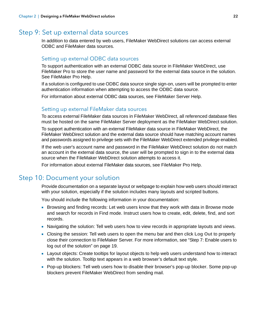# <span id="page-21-0"></span>Step 9: Set up external data sources

In addition to data entered by web users, FileMaker WebDirect solutions can access external ODBC and FileMaker data sources.

#### <span id="page-21-5"></span><span id="page-21-1"></span>Setting up external ODBC data sources

To support authentication with an external ODBC data source in FileMaker WebDirect, use FileMaker Pro to store the user name and password for the external data source in the solution. See FileMaker Pro Help.

If a solution is configured to use ODBC data source single sign-on, users will be prompted to enter authentication information when attempting to access the ODBC data source.

For information about external ODBC data sources, see FileMaker Server Help.

#### <span id="page-21-4"></span><span id="page-21-2"></span>Setting up external FileMaker data sources

To access external FileMaker data sources in FileMaker WebDirect, all referenced database files must be hosted on the same FileMaker Server deployment as the FileMaker WebDirect solution.

To support authentication with an external FileMaker data source in FileMaker WebDirect, the FileMaker WebDirect solution and the external data source should have matching account names and passwords assigned to privilege sets with the FileMaker WebDirect extended privilege enabled.

If the web user's account name and password in the FileMaker WebDirect solution do not match an account in the external data source, the user will be prompted to sign in to the external data source when the FileMaker WebDirect solution attempts to access it.

For information about external FileMaker data sources, see FileMaker Pro Help.

# <span id="page-21-3"></span>Step 10: Document your solution

<span id="page-21-6"></span>Provide documentation on a separate layout or webpage to explain how web users should interact with your solution, especially if the solution includes many layouts and scripted buttons.

You should include the following information in your documentation:

- **Browsing and finding records: Let web users know that they work with data in Browse mode** and search for records in Find mode. Instruct users how to create, edit, delete, find, and sort records.
- 1 Navigating the solution: Tell web users how to view records in appropriate layouts and views.
- 1 Closing the session: Tell web users to open the menu bar and then click **Log Out** to properly close their connection to FileMaker Server. For more information, see ["Step 7: Enable users to](#page-18-0)  [log out of the solution" on page](#page-18-0) 19.
- <span id="page-21-7"></span>**Layout objects: Create tooltips for layout objects to help web users understand how to interact** with the solution. Tooltip text appears in a web browser's default text style.
- 1 Pop-up blockers: Tell web users how to disable their browser's pop-up blocker. Some pop-up blockers prevent FileMaker WebDirect from sending mail.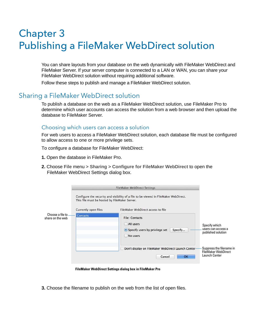# <span id="page-22-3"></span><span id="page-22-0"></span>Chapter 3 Publishing a FileMaker WebDirect solution

You can share layouts from your database on the web dynamically with FileMaker WebDirect and FileMaker Server. If your server computer is connected to a LAN or WAN, you can share your FileMaker WebDirect solution without requiring additional software.

Follow these steps to publish and manage a FileMaker WebDirect solution.

# <span id="page-22-1"></span>Sharing a FileMaker WebDirect solution

To publish a database on the web as a FileMaker WebDirect solution, use FileMaker Pro to determine which user accounts can access the solution from a web browser and then upload the database to FileMaker Server.

#### <span id="page-22-4"></span><span id="page-22-2"></span>Choosing which users can access a solution

For web users to access a FileMaker WebDirect solution, each database file must be configured to allow access to one or more privilege sets.

To configure a database for FileMaker WebDirect:

- **1.** Open the database in FileMaker Pro.
- **2.** Choose **File** menu > **Sharing** > **Configure for FileMaker WebDirect** to open the FileMaker WebDirect Settings dialog box.

|                                       |                                               | <b>FileMaker WebDirect Settings</b>                                                           |                                                                         |
|---------------------------------------|-----------------------------------------------|-----------------------------------------------------------------------------------------------|-------------------------------------------------------------------------|
|                                       | This file must be hosted by FileMaker Server. | Configure the security and visibility of a file to be viewed in FileMaker WebDirect.          |                                                                         |
|                                       | Currently open files                          | FileMaker WebDirect access to file                                                            |                                                                         |
| Choose a file to.<br>share on the web | <b>Contacts</b>                               | <b>File: Contacts</b><br>All users<br>• Specify users by privilege set<br>Specify<br>No users | Specify which<br>users can access a<br>published solution               |
|                                       |                                               | Don't display on FileMaker WebDirect Launch Center-<br>ſш<br>OK-<br>Cancel                    | Suppress the filename in<br><b>FileMaker WebDirect</b><br>Launch Center |

**FileMaker WebDirect Settings dialog box in FileMaker Pro**

**3.** Choose the filename to publish on the web from the list of open files.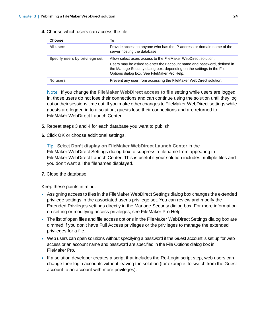**4.** Choose which users can access the file.

<span id="page-23-2"></span><span id="page-23-1"></span>

| <b>Choose</b>                  | То                                                                                                                                                                                                                                                                |
|--------------------------------|-------------------------------------------------------------------------------------------------------------------------------------------------------------------------------------------------------------------------------------------------------------------|
| All users                      | Provide access to anyone who has the IP address or domain name of the<br>server hosting the database.                                                                                                                                                             |
| Specify users by privilege set | Allow select users access to the FileMaker WebDirect solution.<br>Users may be asked to enter their account name and password, defined in<br>the Manage Security dialog box, depending on the settings in the File<br>Options dialog box. See FileMaker Pro Help. |
| No users                       | Prevent any user from accessing the FileMaker WebDirect solution.                                                                                                                                                                                                 |

Note If you change the **FileMaker WebDirect access to file** setting while users are logged in, those users do not lose their connections and can continue using the solution until they log out or their sessions time out. If you make other changes to FileMaker WebDirect settings while guests are logged in to a solution, guests lose their connections and are returned to FileMaker WebDirect Launch Center.

- **5.** Repeat steps 3 and 4 for each database you want to publish.
- **6.** Click **OK** or choose additional settings.

<span id="page-23-3"></span>Tip Select **Don't display on FileMaker WebDirect Launch Center** in the FileMaker WebDirect Settings dialog box to suppress a filename from appearing in FileMaker WebDirect Launch Center. This is useful if your solution includes multiple files and you don't want all the filenames displayed.

**7.** Close the database.

- <span id="page-23-0"></span>1 Assigning access to files in the FileMaker WebDirect Settings dialog box changes the extended privilege settings in the associated user's privilege set. You can review and modify the Extended Privileges settings directly in the Manage Security dialog box. For more information on setting or modifying access privileges, see FileMaker Pro Help.
- The list of open files and file access options in the FileMaker WebDirect Settings dialog box are dimmed if you don't have Full Access privileges or the privileges to manage the extended privileges for a file.
- <span id="page-23-4"></span>1 Web users can open solutions without specifying a password if the Guest account is set up for web access or an account name and password are specified in the File Options dialog box in FileMaker Pro.
- <span id="page-23-5"></span>**If a solution developer creates a script that includes the Re-Login script step, web users can** change their login accounts without leaving the solution (for example, to switch from the Guest account to an account with more privileges).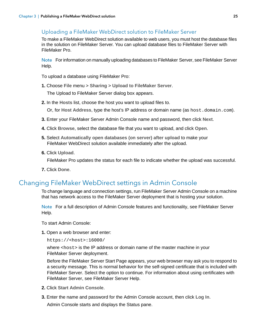# <span id="page-24-5"></span><span id="page-24-0"></span>Uploading a FileMaker WebDirect solution to FileMaker Server

To make a FileMaker WebDirect solution available to web users, you must host the database files in the solution on FileMaker Server. You can upload database files to FileMaker Server with FileMaker Pro.

Note For information on manually uploading databases to FileMaker Server, see FileMaker Server Help.

To upload a database using FileMaker Pro:

**1.** Choose **File** menu > **Sharing** > **Upload to FileMaker Server**.

The Upload to FileMaker Server dialog box appears.

**2.** In the **Hosts** list, choose the host you want to upload files to.

Or, for **Host Address**, type the host's IP address or domain name (as host.domain.com).

- **3.** Enter your FileMaker Server Admin Console name and password, then click **Next**.
- **4.** Click **Browse**, select the database file that you want to upload, and click **Open**.
- **5.** Select **Automatically open databases (on server) after upload** to make your FileMaker WebDirect solution available immediately after the upload.
- **6.** Click **Upload**.

FileMaker Pro updates the status for each file to indicate whether the upload was successful.

**7.** Click **Done**.

# <span id="page-24-4"></span><span id="page-24-2"></span><span id="page-24-1"></span>Changing FileMaker WebDirect settings in Admin Console

To change language and connection settings, run FileMaker Server Admin Console on a machine that has network access to the FileMaker Server deployment that is hosting your solution.

Note For a full description of Admin Console features and functionality, see FileMaker Server Help.

<span id="page-24-3"></span>To start Admin Console:

**1.** Open a web browser and enter:

https://<host>:16000/

where <host> is the IP address or domain name of the master machine in your FileMaker Server deployment.

Before the FileMaker Server Start Page appears, your web browser may ask you to respond to a security message. This is normal behavior for the self-signed certificate that is included with FileMaker Server. Select the option to continue. For information about using certificates with FileMaker Server, see FileMaker Server Help.

- **2.** Click **Start Admin Console**.
- **3.** Enter the name and password for the Admin Console account, then click **Log In**.

Admin Console starts and displays the Status pane.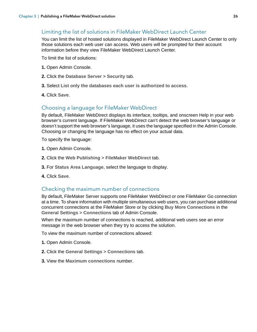### <span id="page-25-5"></span><span id="page-25-0"></span>Limiting the list of solutions in FileMaker WebDirect Launch Center

You can limit the list of hosted solutions displayed in FileMaker WebDirect Launch Center to only those solutions each web user can access. Web users will be prompted for their account information before they view FileMaker WebDirect Launch Center.

To limit the list of solutions:

- **1.** Open Admin Console.
- **2.** Click the **Database Server** > **Security** tab.
- **3.** Select **List only the databases each user is authorized to access**.
- **4.** Click **Save**.

#### <span id="page-25-4"></span><span id="page-25-1"></span>Choosing a language for FileMaker WebDirect

By default, FileMaker WebDirect displays its interface, tooltips, and onscreen Help in your web browser's current language. If FileMaker WebDirect can't detect the web browser's language or doesn't support the web browser's language, it uses the language specified in the Admin Console. Choosing or changing the language has no effect on your actual data.

<span id="page-25-7"></span>To specify the language:

- **1.** Open Admin Console.
- **2.** Click the **Web Publishing** > **FileMaker WebDirect** tab.
- **3.** For **Status Area Language**, select the language to display.
- **4.** Click **Save**.

#### <span id="page-25-3"></span><span id="page-25-2"></span>Checking the maximum number of connections

<span id="page-25-6"></span>By default, FileMaker Server supports one FileMaker WebDirect or one FileMaker Go connection at a time. To share information with multiple simultaneous web users, you can purchase additional concurrent connections at the FileMaker Store or by clicking **Buy More Connections** in the **General Settings** > **Connections** tab of Admin Console.

When the maximum number of connections is reached, additional web users see an error message in the web browser when they try to access the solution.

To view the maximum number of connections allowed:

- **1.** Open Admin Console.
- **2.** Click the **General Settings** > **Connections** tab.
- **3.** View the **Maximum connections** number.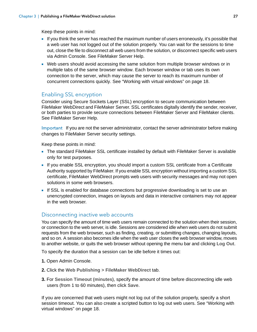Keep these points in mind:

- 1 If you think the server has reached the maximum number of users erroneously, it's possible that a web user has not logged out of the solution properly. You can wait for the sessions to time out, close the file to disconnect all web users from the solution, or disconnect specific web users via Admin Console. See FileMaker Server Help.
- Web users should avoid accessing the same solution from multiple browser windows or in multiple tabs of the same browser window. Each browser window or tab uses its own connection to the server, which may cause the server to reach its maximum number of concurrent connections quickly. See ["Working with virtual windows" on page](#page-17-2) 18.

## <span id="page-26-2"></span><span id="page-26-0"></span>Enabling SSL encryption

<span id="page-26-6"></span>Consider using Secure Sockets Layer (SSL) encryption to secure communication between FileMaker WebDirect and FileMaker Server. SSL certificates digitally identify the sender, receiver, or both parties to provide secure connections between FileMaker Server and FileMaker clients. See FileMaker Server Help.

Important If you are not the server administrator, contact the server administrator before making changes to FileMaker Server security settings.

Keep these points in mind:

- 1 The standard FileMaker SSL certificate installed by default with FileMaker Server is available only for test purposes.
- 1 If you enable SSL encryption, you should import a custom SSL certificate from a Certificate Authority supported by FileMaker. If you enable SSL encryption without importing a custom SSL certificate, FileMaker WebDirect prompts web users with security messages and may not open solutions in some web browsers.
- **If SSL is enabled for database connections but progressive downloading is set to use an** unencrypted connection, images on layouts and data in interactive containers may not appear in the web browser.

#### <span id="page-26-3"></span><span id="page-26-1"></span>Disconnecting inactive web accounts

You can specify the amount of time web users remain connected to the solution when their session, or connection to the web server, is idle. Sessions are considered idle when web users do not submit requests from the web browser, such as finding, creating, or submitting changes, changing layouts, and so on. A session also becomes idle when the web user closes the web browser window, moves to another website, or quits the web browser without opening the menu bar and clicking **Log Out**.

<span id="page-26-4"></span>To specify the duration that a session can be idle before it times out:

- **1.** Open Admin Console.
- **2.** Click the **Web Publishing** > **FileMaker WebDirect** tab.
- <span id="page-26-5"></span>**3.** For **Session Timeout (minutes)**, specify the amount of time before disconnecting idle web users (from 1 to 60 minutes), then click **Save**.

If you are concerned that web users might not log out of the solution properly, specify a short session timeout. You can also create a scripted button to log out web users. See ["Working with](#page-17-2)  [virtual windows" on page](#page-17-2) 18.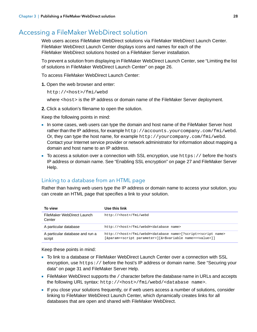# <span id="page-27-2"></span><span id="page-27-0"></span>Accessing a FileMaker WebDirect solution

<span id="page-27-4"></span>Web users access FileMaker WebDirect solutions via FileMaker WebDirect Launch Center. FileMaker WebDirect Launch Center displays icons and names for each of the FileMaker WebDirect solutions hosted on a FileMaker Server installation.

To prevent a solution from displaying in FileMaker WebDirect Launch Center, see ["Limiting the list](#page-25-0)  of solutions in FileMaker [WebDirect Launch Center" on page](#page-25-0) 26.

To access FileMaker WebDirect Launch Center:

**1.** Open the web browser and enter:

```
http://<host>/fmi/webd
```
where <host> is the IP address or domain name of the FileMaker Server deployment.

**2.** Click a solution's filename to open the solution.

Keep the following points in mind:

- In some cases, web users can type the domain and host name of the FileMaker Server host rather than the IP address, for example http://accounts.yourcompany.com/fmi/webd. Or, they can type the host name, for example http://yourcompany.com/fmi/webd. Contact your Internet service provider or network administrator for information about mapping a domain and host name to an IP address.
- <span id="page-27-5"></span> $\blacksquare$  To access a solution over a connection with SSL encryption, use https:// before the host's IP address or domain name. See ["Enabling SSL encryption" on page](#page-26-0) 27 and FileMaker Server Help.

#### <span id="page-27-3"></span><span id="page-27-1"></span>Linking to a database from an HTML page

Rather than having web users type the IP address or domain name to access your solution, you can create an HTML page that specifies a link to your solution.

| To view                                   | Use this link                                                                                  |
|-------------------------------------------|------------------------------------------------------------------------------------------------|
| FileMaker WebDirect Launch<br>Center      | http:// <host>/fmi/webd</host>                                                                 |
| A particular database                     | http:// <host>/fmi/webd#<database name=""></database></host>                                   |
| A particular database and run a<br>script | http:// <host>/fmi/webd#<database name="">[?script=<script name=""></script></database></host> |

- 1 To link to a database or FileMaker WebDirect Launch Center over a connection with SSL encryption, use https:// before the host's IP address or domain name. See "Securing your [data" on page](#page-30-1) 31 and FileMaker Server Help.
- $\blacksquare$  FileMaker WebDirect supports the / character before the database name in URLs and accepts the following URL syntax: http://<host>/fmi/webd/<database name>.
- 1 If you close your solutions frequently, or if web users access a number of solutions, consider linking to FileMaker WebDirect Launch Center, which dynamically creates links for all databases that are open and shared with FileMaker WebDirect.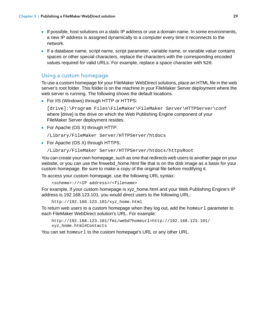- <span id="page-28-2"></span>**If possible, host solutions on a static IP address or use a domain name. In some environments,** a new IP address is assigned dynamically to a computer every time it reconnects to the network.
- 1 If a database name, script name, script parameter, variable name, or variable value contains spaces or other special characters, replace the characters with the corresponding encoded values required for valid URLs. For example, replace a space character with %20.

#### <span id="page-28-1"></span><span id="page-28-0"></span>Using a custom homepage

To use a custom homepage for your FileMaker WebDirect solutions, place an HTML file in the web server's root folder. This folder is on the machine in your FileMaker Server deployment where the web server is running. The following shows the default locations.

• For IIS (Windows) through HTTP or HTTPS:

[drive]:\Program Files\FileMaker\FileMaker Server\HTTPServer\conf where [drive] is the drive on which the Web Publishing Engine component of your FileMaker Server deployment resides.

 $\blacksquare$  For Apache (OS X) through HTTP:

/Library/FileMaker Server/HTTPServer/htdocs

 $\blacksquare$  For Apache (OS X) through HTTPS:

/Library/FileMaker Server/HTTPServer/htdocs/httpsRoot

You can create your own homepage, such as one that redirects web users to another page on your website, or you can use the fmwebd\_home.html file that is on the disk image as a basis for your custom homepage. Be sure to make a copy of the original file before modifying it.

To access your custom homepage, use the following URL syntax:

<scheme>://<IP address>/<filename>

For example, if your custom homepage is xyz home.html and your Web Publishing Engine's IP address is 192.168.123.101, you would direct users to the following URL:

```
http://192.168.123.101/xyz_home.html
```
To return web users to a custom homepage when they log out, add the homeurl parameter to each FileMaker WebDirect solution's URL. For example:

http://192.168.123.101/fmi/webd?homeurl=http://192.168.123.101/ xyz\_home.html#Contacts

You can set homeurl to the custom homepage's URL or any other URL.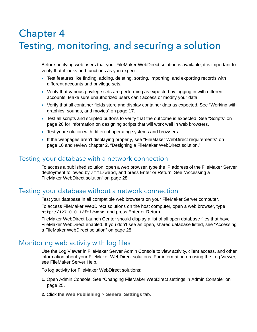# <span id="page-29-9"></span><span id="page-29-4"></span><span id="page-29-0"></span>Chapter 4 Testing, monitoring, and securing a solution

Before notifying web users that your FileMaker WebDirect solution is available, it is important to verify that it looks and functions as you expect.

- Test features like finding, adding, deleting, sorting, importing, and exporting records with different accounts and privilege sets.
- <span id="page-29-5"></span>1 Verify that various privilege sets are performing as expected by logging in with different accounts. Make sure unauthorized users can't access or modify your data.
- 1 Verify that all container fields store and display container data as expected. See ["Working with](#page-16-3)  [graphics, sounds, and movies" on page](#page-16-3) 17.
- <span id="page-29-8"></span>1 Test all scripts and scripted buttons to verify that the outcome is expected. See ["Scripts" on](#page-19-1)  [page](#page-19-1) 20 for information on designing scripts that will work well in web browsers.
- **-** Test your solution with different operating systems and browsers.
- <sup>■</sup> If the webpages aren't displaying properly, see "FileMaker WebDirect requirements" on [page](#page-9-1) 10 and review chapter [2, "Designing a FileMaker](#page-11-5) WebDirect solution."

# <span id="page-29-1"></span>Testing your database with a network connection

To access a published solution, open a web browser, type the IP address of the FileMaker Server deployment followed by /fmi/webd, and press Enter or Return. See "Accessing a FileMaker [WebDirect solution" on page](#page-27-2) 28.

# <span id="page-29-2"></span>Testing your database without a network connection

Test your database in all compatible web browsers on your FileMaker Server computer.

To access FileMaker WebDirect solutions on the host computer, open a web browser, type http://127.0.0.1/fmi/webd, and press Enter or Return.

<span id="page-29-6"></span>FileMaker WebDirect Launch Center should display a list of all open database files that have FileMaker WebDirect enabled. If you don't see an open, shared database listed, see ["Accessing](#page-27-2)  a FileMaker [WebDirect solution" on page](#page-27-2) 28.

# <span id="page-29-7"></span><span id="page-29-3"></span>Monitoring web activity with log files

Use the Log Viewer in FileMaker Server Admin Console to view activity, client access, and other information about your FileMaker WebDirect solutions. For information on using the Log Viewer, see FileMaker Server Help.

To log activity for FileMaker WebDirect solutions:

- **1.** Open Admin Console. See "Changing FileMaker [WebDirect settings in Admin Console" on](#page-24-2)  [page](#page-24-2) 25.
- **2.** Click the **Web Publishing** > **General Settings** tab.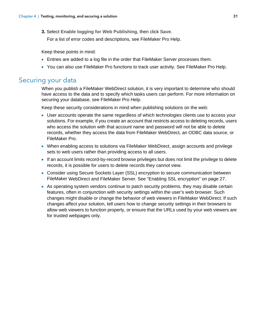**3.** Select **Enable logging for Web Publishing**, then click **Save**.

<span id="page-30-5"></span>For a list of error codes and descriptions, see FileMaker Pro Help.

Keep these points in mind:

- **Entries are added to a log file in the order that FileMaker Server processes them.**
- 1 You can also use FileMaker Pro functions to track user activity. See FileMaker Pro Help.

## <span id="page-30-1"></span><span id="page-30-0"></span>Securing your data

<span id="page-30-4"></span>When you publish a FileMaker WebDirect solution, it is very important to determine who should have access to the data and to specify which tasks users can perform. For more information on securing your database, see FileMaker Pro Help.

<span id="page-30-3"></span>Keep these security considerations in mind when publishing solutions on the web:

- **User accounts operate the same regardless of which technologies clients use to access your** solutions. For example, if you create an account that restricts access to deleting records, users who access the solution with that account name and password will not be able to delete records, whether they access the data from FileMaker WebDirect, an ODBC data source, or FileMaker Pro.
- 1 When enabling access to solutions via FileMaker WebDirect, assign accounts and privilege sets to web users rather than providing access to all users.
- 1 If an account limits record-by-record browse privileges but does not limit the privilege to delete records, it is possible for users to delete records they cannot view.
- <span id="page-30-2"></span>• Consider using Secure Sockets Layer (SSL) encryption to secure communication between FileMaker WebDirect and FileMaker Server. See ["Enabling SSL encryption" on page](#page-26-2) 27.
- <span id="page-30-6"></span>**4** As operating system vendors continue to patch security problems, they may disable certain features, often in conjunction with security settings within the user's web browser. Such changes might disable or change the behavior of web viewers in FileMaker WebDirect. If such changes affect your solution, tell users how to change security settings in their browsers to allow web viewers to function properly, or ensure that the URLs used by your web viewers are for trusted webpages only.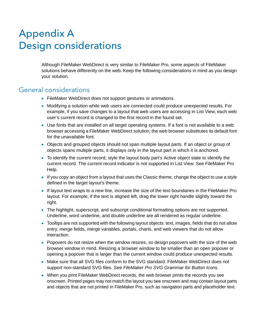# <span id="page-31-0"></span>Appendix A Design considerations

<span id="page-31-2"></span>Although FileMaker WebDirect is very similar to FileMaker Pro, some aspects of FileMaker solutions behave differently on the web. Keep the following considerations in mind as you design your solution.

# <span id="page-31-1"></span>General considerations

- **FileMaker WebDirect does not support gestures or animations.**
- 1 Modifying a solution while web users are connected could produce unexpected results. For example, if you save changes to a layout that web users are accessing in List View, each web user's current record is changed to the first record in the found set.
- 1 Use fonts that are installed on all target operating systems. If a font is not available to a web browser accessing a FileMaker WebDirect solution, the web browser substitutes its default font for the unavailable font.
- Objects and grouped objects should not span multiple layout parts. If an object or group of objects spans multiple parts, it displays only in the layout part in which it is anchored.
- <span id="page-31-4"></span>1 To identify the current record, style the layout body part's Active object state to identify the current record. The current record indicator is not supported in List View. See FileMaker Pro Help.
- 1 If you copy an object from a layout that uses the Classic theme, change the object to use a style defined in the target layout's theme.
- 1 If layout text wraps to a new line, increase the size of the text boundaries in the FileMaker Pro layout. For example, if the text is aligned left, drag the lower right handle slightly toward the right.
- <span id="page-31-3"></span>• The highlight, superscript, and subscript conditional formatting options are not supported. Underline, word underline, and double underline are all rendered as regular underline.
- 1 Tooltips are not supported with the following layout objects: text, images, fields that do not allow entry, merge fields, merge variables, portals, charts, and web viewers that do not allow interaction.
- <span id="page-31-5"></span>1 Popovers do not resize when the window resizes, so design popovers with the size of the web browser window in mind. Resizing a browser window to be smaller than an open popover or opening a popover that is larger than the current window could produce unexpected results.
- 1 Make sure that all SVG files conform to the SVG standard. FileMaker WebDirect does not support non-standard SVG files. See *FileMaker Pro SVG Grammar for Button Icons*.
- When you print FileMaker WebDirect records, the web browser prints the records you see onscreen. Printed pages may not match the layout you see onscreen and may contain layout parts and objects that are not printed in FileMaker Pro, such as navigation parts and placeholder text.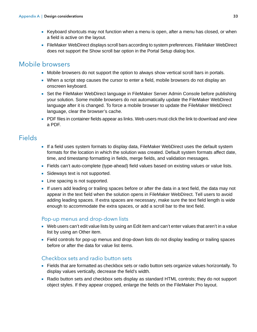- 1 Keyboard shortcuts may not function when a menu is open, after a menu has closed, or when a field is active on the layout.
- 1 FileMaker WebDirect displays scroll bars according to system preferences. FileMaker WebDirect does not support the Show scroll bar option in the Portal Setup dialog box.

# <span id="page-32-0"></span>Mobile browsers

- Mobile browsers do not support the option to always show vertical scroll bars in portals.
- When a script step causes the cursor to enter a field, mobile browsers do not display an onscreen keyboard.
- Set the FileMaker WebDirect language in FileMaker Server Admin Console before publishing your solution. Some mobile browsers do not automatically update the FileMaker WebDirect language after it is changed. To force a mobile browser to update the FileMaker WebDirect language, clear the browser's cache.
- **PDF** files in container fields appear as links. Web users must click the link to download and view a PDF.

# <span id="page-32-1"></span>**Fields**

- 1 If a field uses system formats to display data, FileMaker WebDirect uses the default system formats for the location in which the solution was created. Default system formats affect date, time, and timestamp formatting in fields, merge fields, and validation messages.
- Fields can't auto-complete (type-ahead) field values based on existing values or value lists.
- **5 Sideways text is not supported.**
- **Line spacing is not supported.**
- 1 If users add leading or trailing spaces before or after the data in a text field, the data may not appear in the text field when the solution opens in FileMaker WebDirect. Tell users to avoid adding leading spaces. If extra spaces are necessary, make sure the text field length is wide enough to accommodate the extra spaces, or add a scroll bar to the text field.

#### <span id="page-32-5"></span><span id="page-32-2"></span>Pop-up menus and drop-down lists

- Web users can't edit value lists by using an Edit item and can't enter values that aren't in a value list by using an Other item.
- Field controls for pop-up menus and drop-down lists do not display leading or trailing spaces before or after the data for value list items.

#### <span id="page-32-4"></span><span id="page-32-3"></span>Checkbox sets and radio button sets

- 1 Fields that are formatted as checkbox sets or radio button sets organize values horizontally. To display values vertically, decrease the field's width.
- Radio button sets and checkbox sets display as standard HTML controls; they do not support object styles. If they appear cropped, enlarge the fields on the FileMaker Pro layout.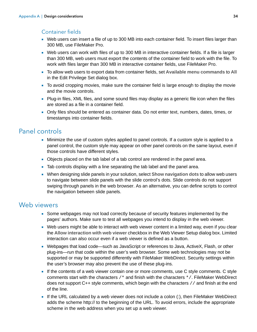#### <span id="page-33-3"></span><span id="page-33-0"></span>Container fields

- Web users can insert a file of up to 300 MB into each container field. To insert files larger than 300 MB, use FileMaker Pro.
- Web users can work with files of up to 300 MB in interactive container fields. If a file is larger than 300 MB, web users must export the contents of the container field to work with the file. To work with files larger than 300 MB in interactive container fields, use FileMaker Pro.
- 1 To allow web users to export data from container fields, set **Available menu commands** to **All** in the Edit Privilege Set dialog box.
- 1 To avoid cropping movies, make sure the container field is large enough to display the movie and the movie controls.
- Plug-in files, XML files, and some sound files may display as a generic file icon when the files are stored as a file in a container field.
- 1 Only files should be entered as container data. Do not enter text, numbers, dates, times, or timestamps into container fields.

# <span id="page-33-4"></span><span id="page-33-1"></span>Panel controls

- 1 Minimize the use of custom styles applied to panel controls. If a custom style is applied to a panel control, the custom style may appear on other panel controls on the same layout, even if those controls have different styles.
- Objects placed on the tab label of a tab control are rendered in the panel area.
- 1 Tab controls display with a line separating the tab label and the panel area.
- 1 When designing slide panels in your solution, select **Show navigation dots** to allow web users to navigate between slide panels with the slide control's dots. Slide controls do not support swiping through panels in the web browser. As an alternative, you can define scripts to control the navigation between slide panels.

# <span id="page-33-5"></span><span id="page-33-2"></span>Web viewers

- Some webpages may not load correctly because of security features implemented by the pages' authors. Make sure to test all webpages you intend to display in the web viewer.
- Web users might be able to interact with web viewer content in a limited way, even if you clear the **Allow interaction with web viewer** checkbox in the Web Viewer Setup dialog box. Limited interaction can also occur even if a web viewer is defined as a button.
- Webpages that load code—such as JavaScript or references to Java, ActiveX, Flash, or other plug-ins—run that code within the user's web browser. Some web technologies may not be supported or may be supported differently with FileMaker WebDirect. Security settings within the user's browser may also prevent the use of these plug-ins.
- 1 If the contents of a web viewer contain one or more comments, use C style comments. C style comments start with the characters /\* and finish with the characters \*/. FileMaker WebDirect does not support C++ style comments, which begin with the characters // and finish at the end of the line.
- $\blacksquare$  If the URL calculated by a web viewer does not include a colon (:), then FileMaker WebDirect adds the scheme http:// to the beginning of the URL. To avoid errors, include the appropriate scheme in the web address when you set up a web viewer.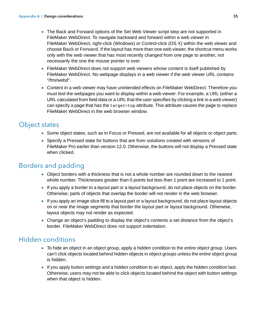- <span id="page-34-3"></span>• The Back and Forward options of the Set Web Viewer script step are not supported in FileMaker WebDirect. To navigate backward and forward within a web viewer in FileMaker WebDirect, right-click (Windows) or Control-click (OS X) within the web viewer and choose **Back** or **Forward**. If the layout has more than one web viewer, the shortcut menu works only with the web viewer that has most recently changed from one page to another, not necessarily the one the mouse pointer is over.
- FileMaker WebDirect does not support web viewers whose content is itself published by FileMaker WebDirect. No webpage displays in a web viewer if the web viewer URL contains "/fmi/webd".
- <span id="page-34-4"></span>• Content in a web viewer may have unintended effects on FileMaker WebDirect. Therefore you must test the webpages you want to display within a web viewer. For example, a URL (either a URL calculated from field data or a URL that the user specifies by clicking a link in a web viewer) can specify a page that has the  $target = top$  attribute. This attribute causes the page to replace FileMaker WebDirect in the web browser window.

# <span id="page-34-0"></span>Object states

- Some object states, such as In Focus or Pressed, are not available for all objects or object parts.
- Specify a Pressed state for buttons that are from solutions created with versions of FileMaker Pro earlier than version 12.0. Otherwise, the buttons will not display a Pressed state when clicked.

# <span id="page-34-1"></span>Borders and padding

- Object borders with a thickness that is not a whole number are rounded down to the nearest whole number. Thicknesses greater than 0 points but less than 1 point are increased to 1 point.
- 1 If you apply a border to a layout part or a layout background, do not place objects on the border. Otherwise, parts of objects that overlap the border will not render in the web browser.
- 1 If you apply an image slice fill to a layout part or a layout background, do not place layout objects on or near the image segments that border the layout part or layout background. Otherwise, layout objects may not render as expected.
- 1 Change an object's padding to display the object's contents a set distance from the object's border. FileMaker WebDirect does not support indentation.

# <span id="page-34-2"></span>Hidden conditions

- 1 To hide an object in an object group, apply a hidden condition to the entire object group. Users can't click objects located behind hidden objects in object groups unless the entire object group is hidden.
- 1 If you apply button settings and a hidden condition to an object, apply the hidden condition last. Otherwise, users may not be able to click objects located behind the object with button settings when that object is hidden.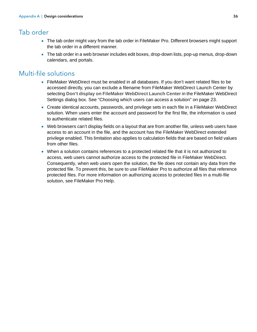# <span id="page-35-0"></span>Tab order

- 1 The tab order might vary from the tab order in FileMaker Pro. Different browsers might support the tab order in a different manner.
- The tab order in a web browser includes edit boxes, drop-down lists, pop-up menus, drop-down calendars, and portals.

# <span id="page-35-1"></span>Multi-file solutions

- <span id="page-35-2"></span>1 FileMaker WebDirect must be enabled in all databases. If you don't want related files to be accessed directly, you can exclude a filename from FileMaker WebDirect Launch Center by selecting **Don't display on FileMaker WebDirect Launch Center** in the FileMaker WebDirect Settings dialog box. See ["Choosing which users can access a solution" on page](#page-22-4) 23.
- 1 Create identical accounts, passwords, and privilege sets in each file in a FileMaker WebDirect solution. When users enter the account and password for the first file, the information is used to authenticate related files.
- 1 Web browsers can't display fields on a layout that are from another file, unless web users have access to an account in the file, and the account has the FileMaker WebDirect extended privilege enabled. This limitation also applies to calculation fields that are based on field values from other files.
- <span id="page-35-3"></span>• When a solution contains references to a protected related file that it is not authorized to access, web users cannot authorize access to the protected file in FileMaker WebDirect. Consequently, when web users open the solution, the file does not contain any data from the protected file. To prevent this, be sure to use FileMaker Pro to authorize all files that reference protected files. For more information on authorizing access to protected files in a multi-file solution, see FileMaker Pro Help.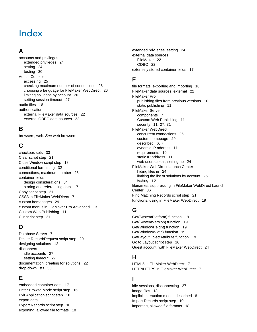# <span id="page-36-0"></span>Index

# **A**

accounts and privileges [extended privileges 24](#page-23-0) [setting 24](#page-23-1) [testing 30](#page-29-5) Admin Console [accessing 25](#page-24-3) [checking maximum number of connections 26](#page-25-3) [choosing a language for FileMaker WebDirect 26](#page-25-4) [limiting solutions by account 26](#page-25-5) [setting session timeout 27](#page-26-3) [audio files 18](#page-17-3) authentication [external FileMaker data sources 22](#page-21-4) [external ODBC data sources 22](#page-21-5)

## **B**

[browsers, web.](#page-27-3) *See* web browsers

# **C**

[checkbox sets 33](#page-32-4) [Clear script step 21](#page-20-1) [Close Window script step 18](#page-17-4) [conditional formatting 32](#page-31-3) [connections, maximum number 26](#page-25-3) container fields [design considerations 34](#page-33-3) [storing and referencing data 17](#page-16-4) [Copy script step 21](#page-20-2) [CSS3 in FileMaker WebDirect 7](#page-6-3) [custom homepages 29](#page-28-1) [custom menus in FileMaker Pro Advanced 13](#page-12-4) [Custom Web Publishing 11](#page-10-3) [Cut script step 21](#page-20-3)

#### **D**

[Database Server 7](#page-6-4) [Delete Record/Request script step 20](#page-19-2) [designing solutions 12](#page-11-6) disconnect [idle accounts 27](#page-26-4) [setting timeout 27](#page-26-5) [documentation, creating for solutions 22](#page-21-6) [drop-down lists 33](#page-32-5)

## **E**

[embedded container data 17](#page-16-4) [Enter Browse Mode script step 16](#page-15-4) [Exit Application script step 18](#page-17-5) [export data 11](#page-10-4) [Export Records script step 10](#page-9-2) [exporting, allowed file formats 18](#page-17-6)

[extended privileges, setting 24](#page-23-0) external data sources [FileMaker 22](#page-21-4) [ODBC 22](#page-21-5) [externally stored container fields 17](#page-16-5)

### **F**

[file formats, exporting and importing 18](#page-17-6) [FileMaker data sources, external 22](#page-21-4) FileMaker Pro [publishing files from previous versions 10](#page-9-3) [static publishing 11](#page-10-4) FileMaker Server [components 7](#page-6-5) [Custom Web Publishing 11](#page-10-3) [security 11](#page-10-5), [27](#page-26-6), [31](#page-30-2) FileMaker WebDirect [concurrent connections 26](#page-25-6) [custom homepage 29](#page-28-1) [described 6](#page-5-1), [7](#page-6-6) [dynamic IP address 11](#page-10-6) [requirements 10](#page-9-1) [static IP address 11](#page-10-6) [web user access, setting up 24](#page-23-2) FileMaker WebDirect Launch Center [hiding files in 24](#page-23-3) [limiting the list of solutions by account 26](#page-25-5) [testing 30](#page-29-6) [filenames, suppressing in FileMaker WebDirect Launch](#page-35-2)  Center 36 [Find Matching Records script step 21](#page-20-4) [functions, using in FileMaker WebDirect 19](#page-18-3)

# **G**

[Get\(SystemPlatform\) function 19](#page-18-4) [Get\(SystemVersion\) function 19](#page-18-5) [Get\(WindowHeight\) function 19](#page-18-6) [Get\(WindowWidth\) function 19](#page-18-7) [GetLayoutObjectAttribute function 19](#page-18-8) [Go to Layout script step 16](#page-15-4) [Guest account, with FileMaker WebDirect 24](#page-23-4)

# **H**

[HTML5 in FileMaker WebDirect 7](#page-6-7) [HTTP/HTTPS in FileMaker WebDirect 7](#page-6-8)

## **I**

[idle sessions, disconnecting 27](#page-26-3) [image files 18](#page-17-7) [implicit interaction model, described 8](#page-7-2) [Import Records script step 10](#page-9-2) [importing, allowed file formats 18](#page-17-6)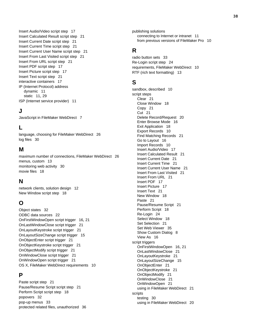[Insert Audio/Video script step 17](#page-16-6) [Insert Calculated Result script step 21](#page-20-5) [Insert Current Date script step 21](#page-20-6) [Insert Current Time script step 21](#page-20-7) [Insert Current User Name script step 21](#page-20-8) [Insert From Last Visited script step 21](#page-20-9) [Insert From URL script step 21](#page-20-10) [Insert PDF script step 17](#page-16-7) [Insert Picture script step 17](#page-16-8) [Insert Text script step 21](#page-20-11) [interactive containers 17](#page-16-9) IP (Internet Protocol) address [dynamic 11](#page-10-6) [static 11](#page-10-6), [29](#page-28-2) [ISP \(Internet service provider\) 11](#page-10-7)

#### **J**

[JavaScript in FileMaker WebDirect 7](#page-6-9)

#### **L**

[language, choosing for FileMaker WebDirect 26](#page-25-4) [log files 30](#page-29-7)

#### **M**

[maximum number of connections, FileMaker WebDirect 26](#page-25-3) [menus, custom 13](#page-12-4) [monitoring web activity 30](#page-29-7) [movie files 18](#page-17-8)

#### **N**

[network clients, solution design 12](#page-11-7) [New Window script step 18](#page-17-9)

#### **O**

[Object states 32](#page-31-4) [ODBC data sources 22](#page-21-5) [OnFirstWindowOpen script trigger 16,](#page-15-5) [21](#page-20-12) [OnLastWindowClose script trigger 21](#page-20-13) [OnLayoutKeystroke script trigger 21](#page-20-14) [OnLayoutSizeChange script trigger 15](#page-14-2) [OnObjectEnter script trigger 21](#page-20-15) [OnObjectKeystroke script trigger 21](#page-20-14) [OnObjectModify script trigger 21](#page-20-16) [OnWindowClose script trigger 21](#page-20-13) [OnWindowOpen script trigger 21](#page-20-12) [OS X, FileMaker WebDirect requirements 10](#page-9-1)

#### **P**

[Paste script step 21](#page-20-17) [Pause/Resume Script script step 21](#page-20-18) [Perform Script script step 18](#page-17-10) [popovers 32](#page-31-5) [pop-up menus 33](#page-32-5) [protected related files, unauthorized 36](#page-35-3) publishing solutions [connecting to Internet or intranet 11](#page-10-8) [from previous versions of FileMaker Pro 10](#page-9-3)

#### **R**

[radio button sets 33](#page-32-4) [Re-Login script step 24](#page-23-5) [requirements, FileMaker WebDirect 10](#page-9-1) [RTF \(rich text formatting\) 13](#page-12-5)

#### **S**

[sandbox, described 10](#page-9-4) script steps [Clear 21](#page-20-1) [Close Window 18](#page-17-4) [Copy 21](#page-20-2) [Cut 21](#page-20-3) [Delete Record/Request 20](#page-19-2) [Enter Browse Mode 16](#page-15-4) [Exit Application 18](#page-17-5) [Export Records 10](#page-9-2) [Find Matching Records 21](#page-20-4) [Go to Layout 16](#page-15-4) [Import Records 10](#page-9-2) [Insert Audio/Video 17](#page-16-6) [Insert Calculated Result 21](#page-20-5) [Insert Current Date 21](#page-20-6) [Insert Current Time 21](#page-20-7) [Insert Current User Name 21](#page-20-8) [Insert From Last Visited 21](#page-20-9) [Insert From URL 21](#page-20-10) [Insert PDF 17](#page-16-7) [Insert Picture 17](#page-16-8) [Insert Text 21](#page-20-11) [New Window 18](#page-17-9) [Paste 21](#page-20-17) [Pause/Resume Script 21](#page-20-18) [Perform Script 18](#page-17-10) [Re-Login 24](#page-23-5) [Select Window 18](#page-17-11) [Set Selection 21](#page-20-19) [Set Web Viewer 35](#page-34-3) [Show Custom Dialog 8](#page-7-3) [View As 16](#page-15-4) script triggers [OnFirstWindowOpen 16,](#page-15-5) [21](#page-20-12) [OnLastWindowClose 21](#page-20-13) [OnLayoutKeystroke 21](#page-20-14) [OnLayoutSizeChange 15](#page-14-2) [OnObjectEnter 21](#page-20-15) [OnObjectKeystroke 21](#page-20-14) [OnObjectModify 21](#page-20-16) [OnWindowClose 21](#page-20-13) [OnWindowOpen 21](#page-20-12) [using in FileMaker WebDirect 21](#page-20-20) scripts [testing 30](#page-29-8) [using in FileMaker WebDirect 20](#page-19-3)